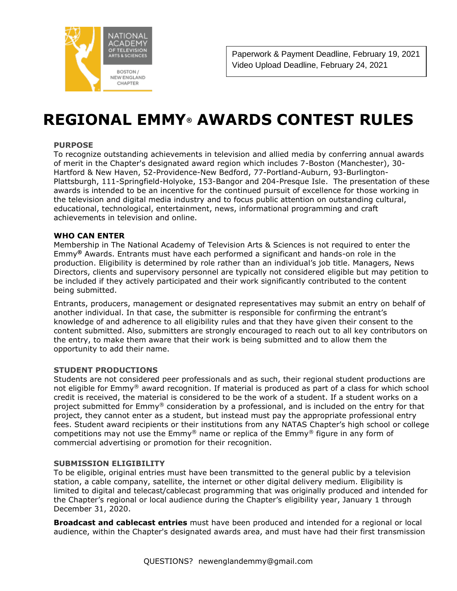

## **REGIONAL EMMY® AWARDS CONTEST RULES**

#### **PURPOSE**

To recognize outstanding achievements in television and allied media by conferring annual awards of merit in the Chapter's designated award region which includes 7-Boston (Manchester), 30- Hartford & New Haven, 52-Providence-New Bedford, 77-Portland-Auburn, 93-Burlington-Plattsburgh, 111-Springfield-Holyoke, 153-Bangor and 204-Presque Isle. The presentation of these awards is intended to be an incentive for the continued pursuit of excellence for those working in the television and digital media industry and to focus public attention on outstanding cultural, educational, technological, entertainment, news, informational programming and craft achievements in television and online.

#### **WHO CAN ENTER**

Membership in The National Academy of Television Arts & Sciences is not required to enter the Emmy**®** Awards. Entrants must have each performed a significant and hands-on role in the production. Eligibility is determined by role rather than an individual's job title. Managers, News Directors, clients and supervisory personnel are typically not considered eligible but may petition to be included if they actively participated and their work significantly contributed to the content being submitted.

Entrants, producers, management or designated representatives may submit an entry on behalf of another individual. In that case, the submitter is responsible for confirming the entrant's knowledge of and adherence to all eligibility rules and that they have given their consent to the content submitted. Also, submitters are strongly encouraged to reach out to all key contributors on the entry, to make them aware that their work is being submitted and to allow them the opportunity to add their name.

#### **STUDENT PRODUCTIONS**

Students are not considered peer professionals and as such, their regional student productions are not eligible for Emmy® award recognition. If material is produced as part of a class for which school credit is received, the material is considered to be the work of a student. If a student works on a project submitted for Emmy® consideration by a professional, and is included on the entry for that project, they cannot enter as a student, but instead must pay the appropriate professional entry fees. Student award recipients or their institutions from any NATAS Chapter's high school or college competitions may not use the  $Emmy^{\circledast}$  name or replica of the  $Emmy^{\circledast}$  figure in any form of commercial advertising or promotion for their recognition.

#### **SUBMISSION ELIGIBILITY**

To be eligible, original entries must have been transmitted to the general public by a television station, a cable company, satellite, the internet or other digital delivery medium. Eligibility is limited to digital and telecast/cablecast programming that was originally produced and intended for the Chapter's regional or local audience during the Chapter's eligibility year, January 1 through December 31, 2020.

**Broadcast and cablecast entries** must have been produced and intended for a regional or local audience, within the Chapter's designated awards area, and must have had their first transmission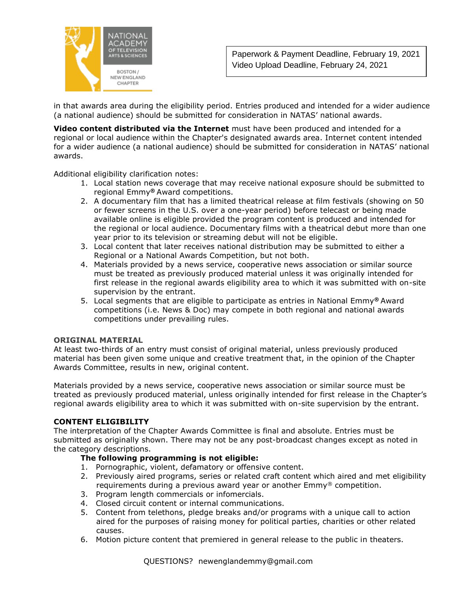

in that awards area during the eligibility period. Entries produced and intended for a wider audience (a national audience) should be submitted for consideration in NATAS' national awards.

**Video content distributed via the Internet** must have been produced and intended for a regional or local audience within the Chapter's designated awards area. Internet content intended for a wider audience (a national audience) should be submitted for consideration in NATAS' national awards.

Additional eligibility clarification notes:

- 1. Local station news coverage that may receive national exposure should be submitted to regional Emmy**®** Award competitions.
- 2. A documentary film that has a limited theatrical release at film festivals (showing on 50 or fewer screens in the U.S. over a one-year period) before telecast or being made available online is eligible provided the program content is produced and intended for the regional or local audience. Documentary films with a theatrical debut more than one year prior to its television or streaming debut will not be eligible.
- 3. Local content that later receives national distribution may be submitted to either a Regional or a National Awards Competition, but not both.
- 4. Materials provided by a news service, cooperative news association or similar source must be treated as previously produced material unless it was originally intended for first release in the regional awards eligibility area to which it was submitted with on-site supervision by the entrant.
- 5. Local segments that are eligible to participate as entries in National Emmy**®** Award competitions (i.e. News & Doc) may compete in both regional and national awards competitions under prevailing rules.

#### **ORIGINAL MATERIAL**

At least two-thirds of an entry must consist of original material, unless previously produced material has been given some unique and creative treatment that, in the opinion of the Chapter Awards Committee, results in new, original content.

Materials provided by a news service, cooperative news association or similar source must be treated as previously produced material, unless originally intended for first release in the Chapter's regional awards eligibility area to which it was submitted with on-site supervision by the entrant.

#### **CONTENT ELIGIBILITY**

The interpretation of the Chapter Awards Committee is final and absolute. Entries must be submitted as originally shown. There may not be any post-broadcast changes except as noted in the category descriptions.

#### **The following programming is not eligible:**

- 1. Pornographic, violent, defamatory or offensive content.
- 2. Previously aired programs, series or related craft content which aired and met eligibility requirements during a previous award year or another  $Emmy<sup>®</sup>$  competition.
- 3. Program length commercials or infomercials.
- 4. Closed circuit content or internal communications.
- 5. Content from telethons, pledge breaks and/or programs with a unique call to action aired for the purposes of raising money for political parties, charities or other related causes.
- 6. Motion picture content that premiered in general release to the public in theaters.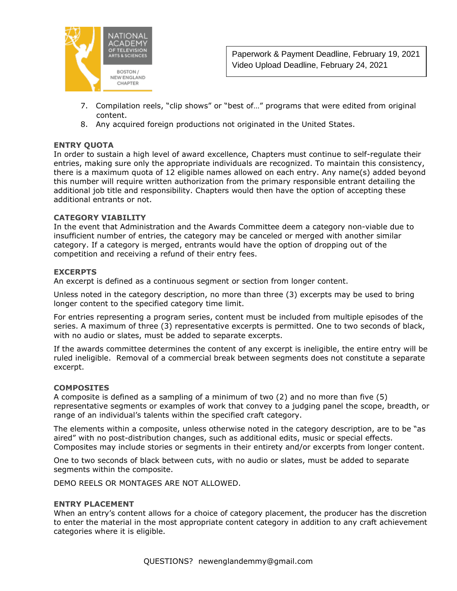

- 7. Compilation reels, "clip shows" or "best of…" programs that were edited from original content.
- 8. Any acquired foreign productions not originated in the United States.

#### **ENTRY QUOTA**

In order to sustain a high level of award excellence, Chapters must continue to self-regulate their entries, making sure only the appropriate individuals are recognized. To maintain this consistency, there is a maximum quota of 12 eligible names allowed on each entry. Any name(s) added beyond this number will require written authorization from the primary responsible entrant detailing the additional job title and responsibility. Chapters would then have the option of accepting these additional entrants or not.

#### **CATEGORY VIABILITY**

In the event that Administration and the Awards Committee deem a category non-viable due to insufficient number of entries, the category may be canceled or merged with another similar category. If a category is merged, entrants would have the option of dropping out of the competition and receiving a refund of their entry fees.

#### **EXCERPTS**

An excerpt is defined as a continuous segment or section from longer content.

Unless noted in the category description, no more than three (3) excerpts may be used to bring longer content to the specified category time limit.

For entries representing a program series, content must be included from multiple episodes of the series. A maximum of three (3) representative excerpts is permitted. One to two seconds of black, with no audio or slates, must be added to separate excerpts.

If the awards committee determines the content of any excerpt is ineligible, the entire entry will be ruled ineligible. Removal of a commercial break between segments does not constitute a separate excerpt.

#### **COMPOSITES**

A composite is defined as a sampling of a minimum of two (2) and no more than five (5) representative segments or examples of work that convey to a judging panel the scope, breadth, or range of an individual's talents within the specified craft category.

The elements within a composite, unless otherwise noted in the category description, are to be "as aired" with no post-distribution changes, such as additional edits, music or special effects. Composites may include stories or segments in their entirety and/or excerpts from longer content.

One to two seconds of black between cuts, with no audio or slates, must be added to separate segments within the composite.

DEMO REELS OR MONTAGES ARE NOT ALLOWED.

#### **ENTRY PLACEMENT**

When an entry's content allows for a choice of category placement, the producer has the discretion to enter the material in the most appropriate content category in addition to any craft achievement categories where it is eligible.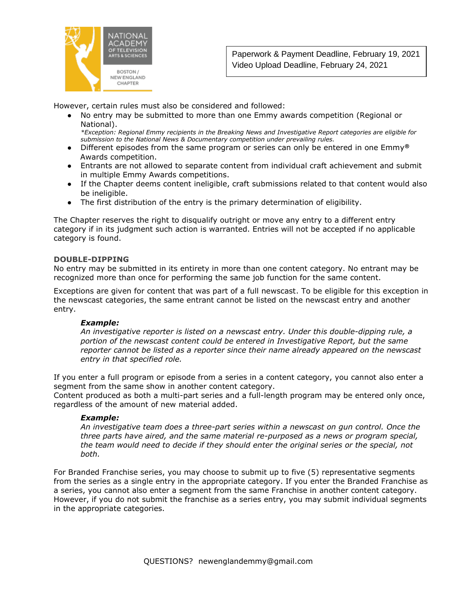

However, certain rules must also be considered and followed:

● No entry may be submitted to more than one Emmy awards competition (Regional or National).

*\*Exception: Regional Emmy recipients in the Breaking News and Investigative Report categories are eligible for submission to the National News & Documentary competition under prevailing rules.*

- Different episodes from the same program or series can only be entered in one Emmy**®** Awards competition.
- Entrants are not allowed to separate content from individual craft achievement and submit in multiple Emmy Awards competitions.
- If the Chapter deems content ineligible, craft submissions related to that content would also be ineligible.
- The first distribution of the entry is the primary determination of eligibility.

The Chapter reserves the right to disqualify outright or move any entry to a different entry category if in its judgment such action is warranted. Entries will not be accepted if no applicable category is found.

#### **DOUBLE-DIPPING**

No entry may be submitted in its entirety in more than one content category. No entrant may be recognized more than once for performing the same job function for the same content.

Exceptions are given for content that was part of a full newscast. To be eligible for this exception in the newscast categories, the same entrant cannot be listed on the newscast entry and another entry.

#### *Example:*

*An investigative reporter is listed on a newscast entry. Under this double-dipping rule, a portion of the newscast content could be entered in Investigative Report, but the same reporter cannot be listed as a reporter since their name already appeared on the newscast entry in that specified role.*

If you enter a full program or episode from a series in a content category, you cannot also enter a segment from the same show in another content category.

Content produced as both a multi-part series and a full-length program may be entered only once, regardless of the amount of new material added.

#### *Example:*

*An investigative team does a three-part series within a newscast on gun control. Once the three parts have aired, and the same material re-purposed as a news or program special, the team would need to decide if they should enter the original series or the special, not both.*

For Branded Franchise series, you may choose to submit up to five (5) representative segments from the series as a single entry in the appropriate category. If you enter the Branded Franchise as a series, you cannot also enter a segment from the same Franchise in another content category. However, if you do not submit the franchise as a series entry, you may submit individual segments in the appropriate categories.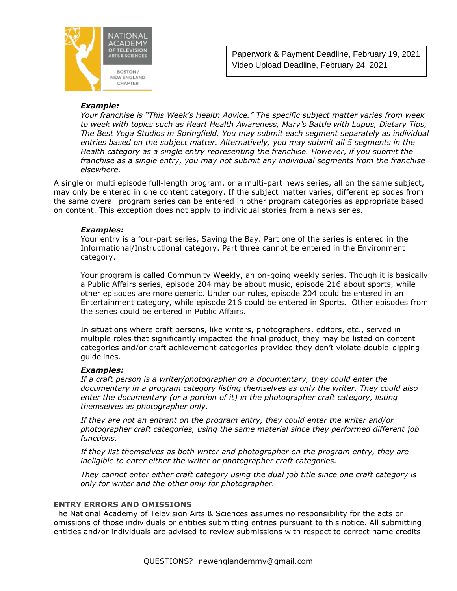

#### *Example:*

*Your franchise is "This Week's Health Advice." The specific subject matter varies from week to week with topics such as Heart Health Awareness, Mary's Battle with Lupus, Dietary Tips, The Best Yoga Studios in Springfield. You may submit each segment separately as individual entries based on the subject matter. Alternatively, you may submit all 5 segments in the Health category as a single entry representing the franchise. However, if you submit the franchise as a single entry, you may not submit any individual segments from the franchise elsewhere.* 

A single or multi episode full-length program, or a multi-part news series, all on the same subject, may only be entered in one content category. If the subject matter varies, different episodes from the same overall program series can be entered in other program categories as appropriate based on content. This exception does not apply to individual stories from a news series.

#### *Examples:*

Your entry is a four-part series, Saving the Bay. Part one of the series is entered in the Informational/Instructional category. Part three cannot be entered in the Environment category.

Your program is called Community Weekly, an on-going weekly series. Though it is basically a Public Affairs series, episode 204 may be about music, episode 216 about sports, while other episodes are more generic. Under our rules, episode 204 could be entered in an Entertainment category, while episode 216 could be entered in Sports. Other episodes from the series could be entered in Public Affairs.

In situations where craft persons, like writers, photographers, editors, etc., served in multiple roles that significantly impacted the final product, they may be listed on content categories and/or craft achievement categories provided they don't violate double-dipping guidelines.

#### *Examples:*

*If a craft person is a writer/photographer on a documentary, they could enter the documentary in a program category listing themselves as only the writer. They could also enter the documentary (or a portion of it) in the photographer craft category, listing themselves as photographer only.*

*If they are not an entrant on the program entry, they could enter the writer and/or photographer craft categories, using the same material since they performed different job functions.*

*If they list themselves as both writer and photographer on the program entry, they are ineligible to enter either the writer or photographer craft categories.*

*They cannot enter either craft category using the dual job title since one craft category is only for writer and the other only for photographer.*

#### **ENTRY ERRORS AND OMISSIONS**

The National Academy of Television Arts & Sciences assumes no responsibility for the acts or omissions of those individuals or entities submitting entries pursuant to this notice. All submitting entities and/or individuals are advised to review submissions with respect to correct name credits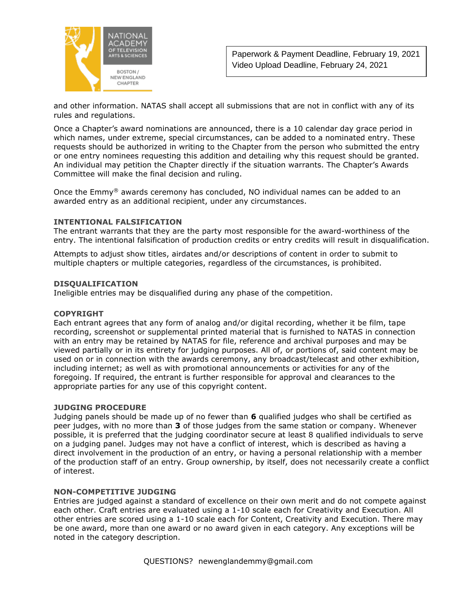

and other information. NATAS shall accept all submissions that are not in conflict with any of its rules and regulations.

Once a Chapter's award nominations are announced, there is a 10 calendar day grace period in which names, under extreme, special circumstances, can be added to a nominated entry. These requests should be authorized in writing to the Chapter from the person who submitted the entry or one entry nominees requesting this addition and detailing why this request should be granted. An individual may petition the Chapter directly if the situation warrants. The Chapter's Awards Committee will make the final decision and ruling.

Once the Emmy® awards ceremony has concluded, NO individual names can be added to an awarded entry as an additional recipient, under any circumstances.

#### **INTENTIONAL FALSIFICATION**

The entrant warrants that they are the party most responsible for the award-worthiness of the entry. The intentional falsification of production credits or entry credits will result in disqualification.

Attempts to adjust show titles, airdates and/or descriptions of content in order to submit to multiple chapters or multiple categories, regardless of the circumstances, is prohibited.

#### **DISQUALIFICATION**

Ineligible entries may be disqualified during any phase of the competition.

#### **COPYRIGHT**

Each entrant agrees that any form of analog and/or digital recording, whether it be film, tape recording, screenshot or supplemental printed material that is furnished to NATAS in connection with an entry may be retained by NATAS for file, reference and archival purposes and may be viewed partially or in its entirety for judging purposes. All of, or portions of, said content may be used on or in connection with the awards ceremony, any broadcast/telecast and other exhibition, including internet; as well as with promotional announcements or activities for any of the foregoing. If required, the entrant is further responsible for approval and clearances to the appropriate parties for any use of this copyright content.

#### **JUDGING PROCEDURE**

Judging panels should be made up of no fewer than **6** qualified judges who shall be certified as peer judges, with no more than **3** of those judges from the same station or company. Whenever possible, it is preferred that the judging coordinator secure at least 8 qualified individuals to serve on a judging panel. Judges may not have a conflict of interest, which is described as having a direct involvement in the production of an entry, or having a personal relationship with a member of the production staff of an entry. Group ownership, by itself, does not necessarily create a conflict of interest.

#### **NON-COMPETITIVE JUDGING**

Entries are judged against a standard of excellence on their own merit and do not compete against each other. Craft entries are evaluated using a 1-10 scale each for Creativity and Execution. All other entries are scored using a 1-10 scale each for Content, Creativity and Execution. There may be one award, more than one award or no award given in each category. Any exceptions will be noted in the category description.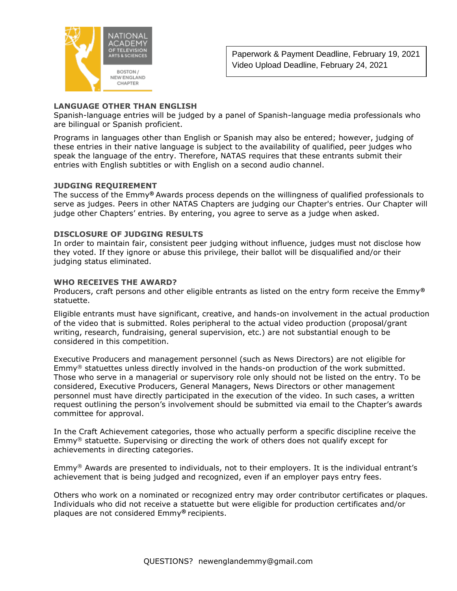

#### **LANGUAGE OTHER THAN ENGLISH**

Spanish-language entries will be judged by a panel of Spanish-language media professionals who are bilingual or Spanish proficient.

Programs in languages other than English or Spanish may also be entered; however, judging of these entries in their native language is subject to the availability of qualified, peer judges who speak the language of the entry. Therefore, NATAS requires that these entrants submit their entries with English subtitles or with English on a second audio channel.

#### **JUDGING REQUIREMENT**

The success of the Emmy**®** Awards process depends on the willingness of qualified professionals to serve as judges. Peers in other NATAS Chapters are judging our Chapter's entries. Our Chapter will judge other Chapters' entries. By entering, you agree to serve as a judge when asked.

#### **DISCLOSURE OF JUDGING RESULTS**

In order to maintain fair, consistent peer judging without influence, judges must not disclose how they voted. If they ignore or abuse this privilege, their ballot will be disqualified and/or their judging status eliminated.

#### **WHO RECEIVES THE AWARD?**

Producers, craft persons and other eligible entrants as listed on the entry form receive the Emmy**®**  statuette.

Eligible entrants must have significant, creative, and hands-on involvement in the actual production of the video that is submitted. Roles peripheral to the actual video production (proposal/grant writing, research, fundraising, general supervision, etc.) are not substantial enough to be considered in this competition.

Executive Producers and management personnel (such as News Directors) are not eligible for Emmy® statuettes unless directly involved in the hands-on production of the work submitted. Those who serve in a managerial or supervisory role only should not be listed on the entry. To be considered, Executive Producers, General Managers, News Directors or other management personnel must have directly participated in the execution of the video. In such cases, a written request outlining the person's involvement should be submitted via email to the Chapter's awards committee for approval.

In the Craft Achievement categories, those who actually perform a specific discipline receive the  $\mathsf{Emmy}^{\otimes}$  statuette. Supervising or directing the work of others does not qualify except for achievements in directing categories.

Emmy® Awards are presented to individuals, not to their employers. It is the individual entrant's achievement that is being judged and recognized, even if an employer pays entry fees.

Others who work on a nominated or recognized entry may order contributor certificates or plaques. Individuals who did not receive a statuette but were eligible for production certificates and/or plaques are not considered Emmy**®** recipients.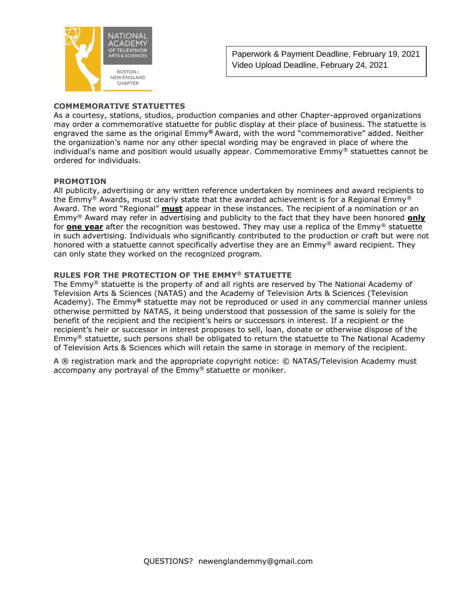

#### **COMMEMORATIVE STATUETTES**

As a courtesy, stations, studios, production companies and other Chapter-approved organizations may order a commemorative statuette for public display at their place of business. The statuette is engraved the same as the original Emmy**®** Award, with the word "commemorative" added. Neither the organization's name nor any other special wording may be engraved in place of where the individual's name and position would usually appear. Commemorative  $Emmy^@$  statuettes cannot be ordered for individuals.

#### **PROMOTION**

All publicity, advertising or any written reference undertaken by nominees and award recipients to the Emmy® Awards, must clearly state that the awarded achievement is for a Regional Emmy® Award. The word "Regional" **must** appear in these instances. The recipient of a nomination or an Emmy® Award may refer in advertising and publicity to the fact that they have been honored **only** for **one year** after the recognition was bestowed. They may use a replica of the Emmy® statuette in such advertising. Individuals who significantly contributed to the production or craft but were not honored with a statuette cannot specifically advertise they are an Emmy® award recipient. They can only state they worked on the recognized program.

#### **RULES FOR THE PROTECTION OF THE EMMY® STATUETTE**

The Emmy® statuette is the property of and all rights are reserved by The National Academy of Television Arts & Sciences (NATAS) and the Academy of Television Arts & Sciences (Television Academy). The Emmy**®** statuette may not be reproduced or used in any commercial manner unless otherwise permitted by NATAS, it being understood that possession of the same is solely for the benefit of the recipient and the recipient's heirs or successors in interest. If a recipient or the recipient's heir or successor in interest proposes to sell, loan, donate or otherwise dispose of the Emmy® statuette, such persons shall be obligated to return the statuette to The National Academy of Television Arts & Sciences which will retain the same in storage in memory of the recipient.

A ® registration mark and the appropriate copyright notice: © NATAS/Television Academy must accompany any portrayal of the Emmy® statuette or moniker.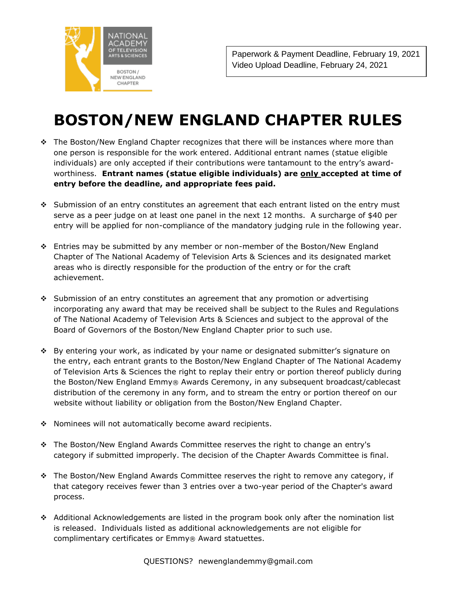

## **BOSTON/NEW ENGLAND CHAPTER RULES**

- ❖ The Boston/New England Chapter recognizes that there will be instances where more than one person is responsible for the work entered. Additional entrant names (statue eligible individuals) are only accepted if their contributions were tantamount to the entry's awardworthiness. **Entrant names (statue eligible individuals) are only accepted at time of entry before the deadline, and appropriate fees paid.**
- ❖ Submission of an entry constitutes an agreement that each entrant listed on the entry must serve as a peer judge on at least one panel in the next 12 months. A surcharge of \$40 per entry will be applied for non-compliance of the mandatory judging rule in the following year.
- ❖ Entries may be submitted by any member or non-member of the Boston/New England Chapter of The National Academy of Television Arts & Sciences and its designated market areas who is directly responsible for the production of the entry or for the craft achievement.
- ❖ Submission of an entry constitutes an agreement that any promotion or advertising incorporating any award that may be received shall be subject to the Rules and Regulations of The National Academy of Television Arts & Sciences and subject to the approval of the Board of Governors of the Boston/New England Chapter prior to such use.
- ❖ By entering your work, as indicated by your name or designated submitter's signature on the entry, each entrant grants to the Boston/New England Chapter of The National Academy of Television Arts & Sciences the right to replay their entry or portion thereof publicly during the Boston/New England Emmy® Awards Ceremony, in any subsequent broadcast/cablecast distribution of the ceremony in any form, and to stream the entry or portion thereof on our website without liability or obligation from the Boston/New England Chapter.
- ❖ Nominees will not automatically become award recipients.
- ❖ The Boston/New England Awards Committee reserves the right to change an entry's category if submitted improperly. The decision of the Chapter Awards Committee is final.
- ❖ The Boston/New England Awards Committee reserves the right to remove any category, if that category receives fewer than 3 entries over a two-year period of the Chapter's award process.
- ❖ Additional Acknowledgements are listed in the program book only after the nomination list is released. Individuals listed as additional acknowledgements are not eligible for complimentary certificates or Emmy® Award statuettes.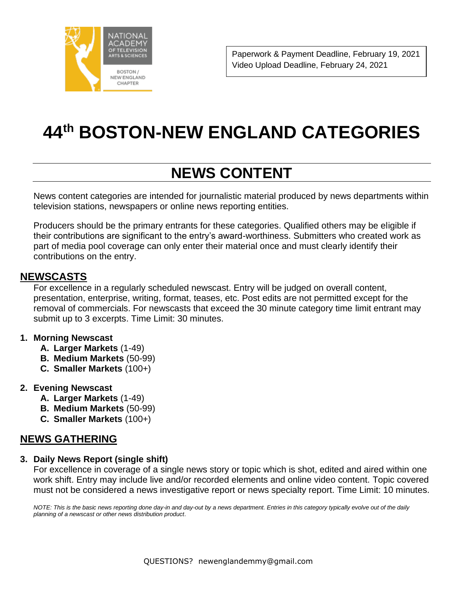

# **44th BOSTON-NEW ENGLAND CATEGORIES**

## **NEWS CONTENT**

News content categories are intended for journalistic material produced by news departments within television stations, newspapers or online news reporting entities.

Producers should be the primary entrants for these categories. Qualified others may be eligible if their contributions are significant to the entry's award-worthiness. Submitters who created work as part of media pool coverage can only enter their material once and must clearly identify their contributions on the entry.

## **NEWSCASTS**

For excellence in a regularly scheduled newscast. Entry will be judged on overall content, presentation, enterprise, writing, format, teases, etc. Post edits are not permitted except for the removal of commercials. For newscasts that exceed the 30 minute category time limit entrant may submit up to 3 excerpts. Time Limit: 30 minutes.

#### **1. Morning Newscast**

- **A. Larger Markets** (1-49)
- **B. Medium Markets** (50-99)
- **C. Smaller Markets** (100+)

#### **2. Evening Newscast**

- **A. Larger Markets** (1-49)
- **B. Medium Markets** (50-99)
- **C. Smaller Markets** (100+)

## **NEWS GATHERING**

#### **3. Daily News Report (single shift)**

For excellence in coverage of a single news story or topic which is shot, edited and aired within one work shift. Entry may include live and/or recorded elements and online video content. Topic covered must not be considered a news investigative report or news specialty report. Time Limit: 10 minutes.

*NOTE: This is the basic news reporting done day-in and day-out by a news department. Entries in this category typically evolve out of the daily planning of a newscast or other news distribution product*.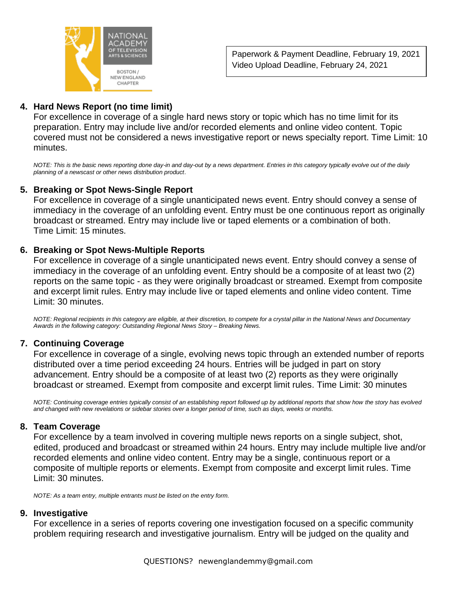

## **4. Hard News Report (no time limit)**

For excellence in coverage of a single hard news story or topic which has no time limit for its preparation. Entry may include live and/or recorded elements and online video content. Topic covered must not be considered a news investigative report or news specialty report. Time Limit: 10 minutes.

*NOTE: This is the basic news reporting done day-in and day-out by a news department. Entries in this category typically evolve out of the daily planning of a newscast or other news distribution product*.

#### **5. Breaking or Spot News-Single Report**

For excellence in coverage of a single unanticipated news event. Entry should convey a sense of immediacy in the coverage of an unfolding event. Entry must be one continuous report as originally broadcast or streamed. Entry may include live or taped elements or a combination of both. Time Limit: 15 minutes.

#### **6. Breaking or Spot News-Multiple Reports**

For excellence in coverage of a single unanticipated news event. Entry should convey a sense of immediacy in the coverage of an unfolding event. Entry should be a composite of at least two (2) reports on the same topic - as they were originally broadcast or streamed. Exempt from composite and excerpt limit rules. Entry may include live or taped elements and online video content. Time Limit: 30 minutes.

*NOTE: Regional recipients in this category are eligible, at their discretion, to compete for a crystal pillar in the National News and Documentary Awards in the following category: Outstanding Regional News Story – Breaking News.* 

#### **7. Continuing Coverage**

For excellence in coverage of a single, evolving news topic through an extended number of reports distributed over a time period exceeding 24 hours. Entries will be judged in part on story advancement. Entry should be a composite of at least two (2) reports as they were originally broadcast or streamed. Exempt from composite and excerpt limit rules. Time Limit: 30 minutes

*NOTE: Continuing coverage entries typically consist of an establishing report followed up by additional reports that show how the story has evolved and changed with new revelations or sidebar stories over a longer period of time, such as days, weeks or months.*

#### **8. Team Coverage**

For excellence by a team involved in covering multiple news reports on a single subject, shot, edited, produced and broadcast or streamed within 24 hours. Entry may include multiple live and/or recorded elements and online video content. Entry may be a single, continuous report or a composite of multiple reports or elements. Exempt from composite and excerpt limit rules. Time Limit: 30 minutes.

*NOTE: As a team entry, multiple entrants must be listed on the entry form.*

#### **9. Investigative**

For excellence in a series of reports covering one investigation focused on a specific community problem requiring research and investigative journalism. Entry will be judged on the quality and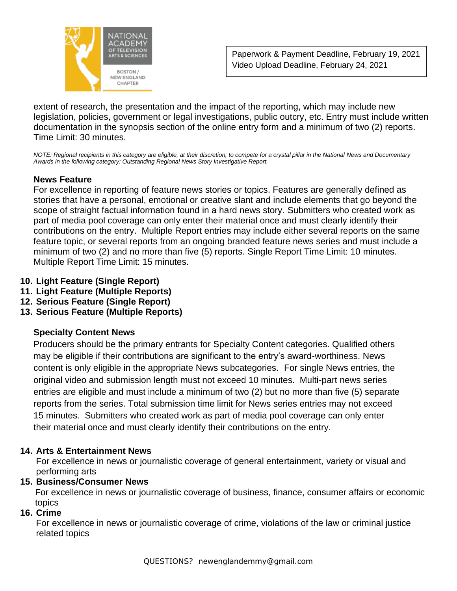

extent of research, the presentation and the impact of the reporting, which may include new legislation, policies, government or legal investigations, public outcry, etc. Entry must include written documentation in the synopsis section of the online entry form and a minimum of two (2) reports. Time Limit: 30 minutes.

*NOTE: Regional recipients in this category are eligible, at their discretion, to compete for a crystal pillar in the National News and Documentary Awards in the following category: Outstanding Regional News Story Investigative Report.*

## **News Feature**

For excellence in reporting of feature news stories or topics. Features are generally defined as stories that have a personal, emotional or creative slant and include elements that go beyond the scope of straight factual information found in a hard news story. Submitters who created work as part of media pool coverage can only enter their material once and must clearly identify their contributions on the entry. Multiple Report entries may include either several reports on the same feature topic, or several reports from an ongoing branded feature news series and must include a minimum of two (2) and no more than five (5) reports. Single Report Time Limit: 10 minutes. Multiple Report Time Limit: 15 minutes.

- **10. Light Feature (Single Report)**
- **11. Light Feature (Multiple Reports)**
- **12. Serious Feature (Single Report)**
- **13. Serious Feature (Multiple Reports)**

## **Specialty Content News**

Producers should be the primary entrants for Specialty Content categories. Qualified others may be eligible if their contributions are significant to the entry's award-worthiness. News content is only eligible in the appropriate News subcategories. For single News entries, the original video and submission length must not exceed 10 minutes. Multi-part news series entries are eligible and must include a minimum of two (2) but no more than five (5) separate reports from the series. Total submission time limit for News series entries may not exceed 15 minutes. Submitters who created work as part of media pool coverage can only enter their material once and must clearly identify their contributions on the entry.

## **14. Arts & Entertainment News**

For excellence in news or journalistic coverage of general entertainment, variety or visual and performing arts

## **15. Business/Consumer News**

 For excellence in news or journalistic coverage of business, finance, consumer affairs or economic topics

## **16. Crime**

For excellence in news or journalistic coverage of crime, violations of the law or criminal justice related topics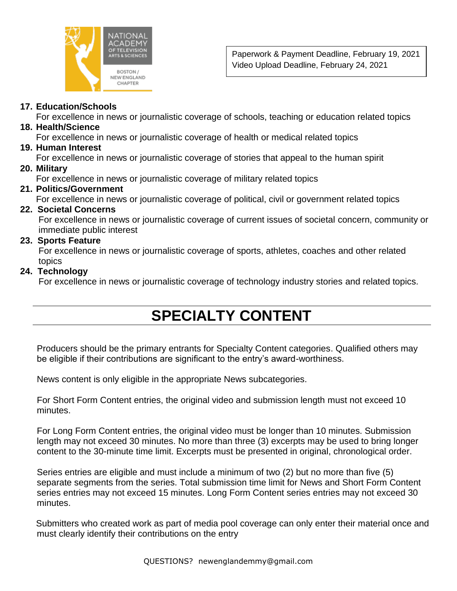

#### **17. Education/Schools**

For excellence in news or journalistic coverage of schools, teaching or education related topics

#### **18. Health/Science**

For excellence in news or journalistic coverage of health or medical related topics

## **19. Human Interest**

For excellence in news or journalistic coverage of stories that appeal to the human spirit

#### **20. Military**

For excellence in news or journalistic coverage of military related topics

#### **21. Politics/Government**

For excellence in news or journalistic coverage of political, civil or government related topics

#### **22. Societal Concerns**

 For excellence in news or journalistic coverage of current issues of societal concern, community or immediate public interest

#### **23. Sports Feature**

 For excellence in news or journalistic coverage of sports, athletes, coaches and other related topics

#### **24. Technology**

For excellence in news or journalistic coverage of technology industry stories and related topics.

## **SPECIALTY CONTENT**

Producers should be the primary entrants for Specialty Content categories. Qualified others may be eligible if their contributions are significant to the entry's award-worthiness.

News content is only eligible in the appropriate News subcategories.

For Short Form Content entries, the original video and submission length must not exceed 10 minutes.

For Long Form Content entries, the original video must be longer than 10 minutes. Submission length may not exceed 30 minutes. No more than three (3) excerpts may be used to bring longer content to the 30-minute time limit. Excerpts must be presented in original, chronological order.

Series entries are eligible and must include a minimum of two (2) but no more than five (5) separate segments from the series. Total submission time limit for News and Short Form Content series entries may not exceed 15 minutes. Long Form Content series entries may not exceed 30 minutes.

Submitters who created work as part of media pool coverage can only enter their material once and must clearly identify their contributions on the entry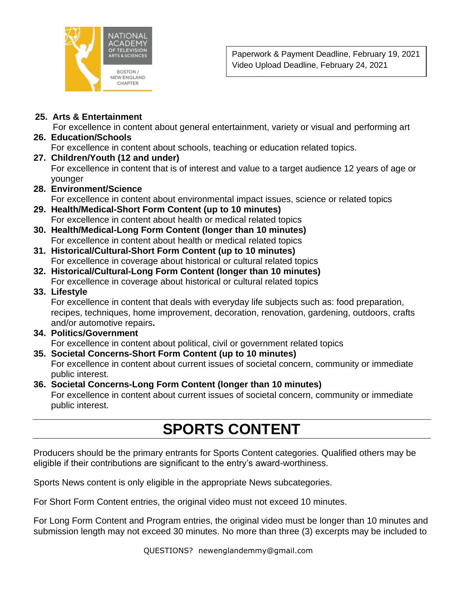

## **25. Arts & Entertainment**

For excellence in content about general entertainment, variety or visual and performing art

## **26. Education/Schools**

For excellence in content about schools, teaching or education related topics.

**27. Children/Youth (12 and under)** For excellence in content that is of interest and value to a target audience 12 years of age or younger

## **28. Environment/Science**

For excellence in content about environmental impact issues, science or related topics

- **29. Health/Medical-Short Form Content (up to 10 minutes)** For excellence in content about health or medical related topics
- **30. Health/Medical-Long Form Content (longer than 10 minutes)** For excellence in content about health or medical related topics
- **31. Historical/Cultural-Short Form Content (up to 10 minutes)** For excellence in coverage about historical or cultural related topics
- **32. Historical/Cultural-Long Form Content (longer than 10 minutes)** For excellence in coverage about historical or cultural related topics
- **33. Lifestyle**

 For excellence in content that deals with everyday life subjects such as: food preparation, recipes, techniques, home improvement, decoration, renovation, gardening, outdoors, crafts and/or automotive repairs**.**

## **34. Politics/Government** For excellence in content about political, civil or government related topics

#### **35. Societal Concerns-Short Form Content (up to 10 minutes)** For excellence in content about current issues of societal concern, community or immediate public interest.

**36. Societal Concerns-Long Form Content (longer than 10 minutes)** For excellence in content about current issues of societal concern, community or immediate public interest.

## **SPORTS CONTENT**

Producers should be the primary entrants for Sports Content categories. Qualified others may be eligible if their contributions are significant to the entry's award-worthiness.

Sports News content is only eligible in the appropriate News subcategories.

For Short Form Content entries, the original video must not exceed 10 minutes.

For Long Form Content and Program entries, the original video must be longer than 10 minutes and submission length may not exceed 30 minutes. No more than three (3) excerpts may be included to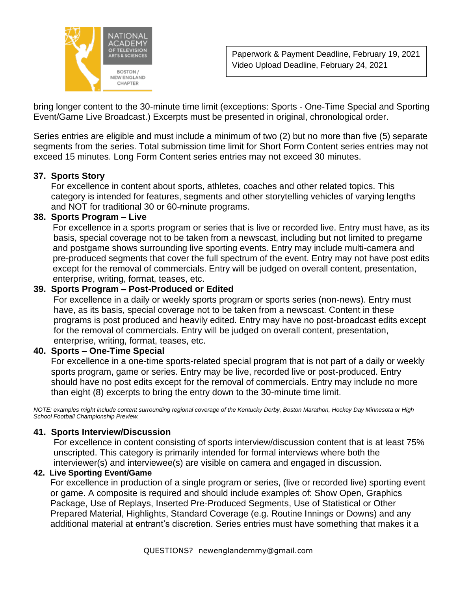

bring longer content to the 30-minute time limit (exceptions: Sports - One-Time Special and Sporting Event/Game Live Broadcast.) Excerpts must be presented in original, chronological order.

Series entries are eligible and must include a minimum of two (2) but no more than five (5) separate segments from the series. Total submission time limit for Short Form Content series entries may not exceed 15 minutes. Long Form Content series entries may not exceed 30 minutes.

#### **37. Sports Story**

 For excellence in content about sports, athletes, coaches and other related topics. This category is intended for features, segments and other storytelling vehicles of varying lengths and NOT for traditional 30 or 60-minute programs.

#### **38. Sports Program – Live**

For excellence in a sports program or series that is live or recorded live. Entry must have, as its basis, special coverage not to be taken from a newscast, including but not limited to pregame and postgame shows surrounding live sporting events. Entry may include multi-camera and pre-produced segments that cover the full spectrum of the event. Entry may not have post edits except for the removal of commercials. Entry will be judged on overall content, presentation, enterprise, writing, format, teases, etc.

#### **39. Sports Program – Post-Produced or Edited**

 For excellence in a daily or weekly sports program or sports series (non-news). Entry must have, as its basis, special coverage not to be taken from a newscast. Content in these programs is post produced and heavily edited. Entry may have no post-broadcast edits except for the removal of commercials. Entry will be judged on overall content, presentation, enterprise, writing, format, teases, etc.

#### **40. Sports – One-Time Special**

 For excellence in a one-time sports-related special program that is not part of a daily or weekly sports program, game or series. Entry may be live, recorded live or post-produced. Entry should have no post edits except for the removal of commercials. Entry may include no more than eight (8) excerpts to bring the entry down to the 30-minute time limit.

*NOTE: examples might include content surrounding regional coverage of the Kentucky Derby, Boston Marathon, Hockey Day Minnesota or High School Football Championship Preview.*

#### **41. Sports Interview/Discussion**

For excellence in content consisting of sports interview/discussion content that is at least 75% unscripted. This category is primarily intended for formal interviews where both the interviewer(s) and interviewee(s) are visible on camera and engaged in discussion.

#### **42. Live Sporting Event/Game**

For excellence in production of a single program or series, (live or recorded live) sporting event or game. A composite is required and should include examples of: Show Open, Graphics Package, Use of Replays, Inserted Pre-Produced Segments, Use of Statistical or Other Prepared Material, Highlights, Standard Coverage (e.g. Routine Innings or Downs) and any additional material at entrant's discretion. Series entries must have something that makes it a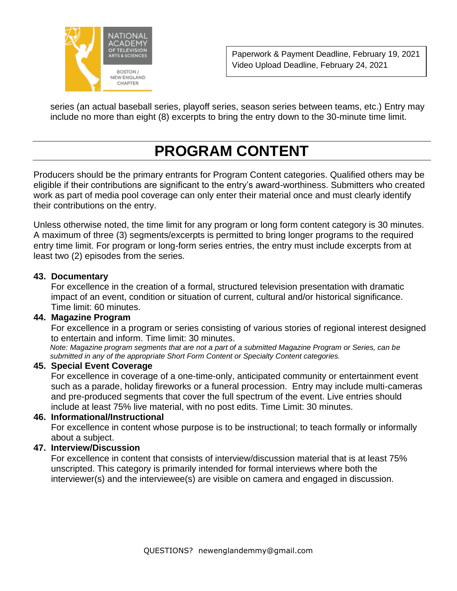

series (an actual baseball series, playoff series, season series between teams, etc.) Entry may include no more than eight (8) excerpts to bring the entry down to the 30-minute time limit.

## **PROGRAM CONTENT**

Producers should be the primary entrants for Program Content categories. Qualified others may be eligible if their contributions are significant to the entry's award-worthiness. Submitters who created work as part of media pool coverage can only enter their material once and must clearly identify their contributions on the entry.

Unless otherwise noted, the time limit for any program or long form content category is 30 minutes. A maximum of three (3) segments/excerpts is permitted to bring longer programs to the required entry time limit. For program or long-form series entries, the entry must include excerpts from at least two (2) episodes from the series.

#### **43. Documentary**

 For excellence in the creation of a formal, structured television presentation with dramatic impact of an event, condition or situation of current, cultural and/or historical significance. Time limit: 60 minutes.

#### **44. Magazine Program**

 For excellence in a program or series consisting of various stories of regional interest designed to entertain and inform. Time limit: 30 minutes.

 *Note: Magazine program segments that are not a part of a submitted Magazine Program or Series, can be submitted in any of the appropriate Short Form Content or Specialty Content categories.*

#### **45. Special Event Coverage**

 For excellence in coverage of a one-time-only, anticipated community or entertainment event such as a parade, holiday fireworks or a funeral procession. Entry may include multi-cameras and pre-produced segments that cover the full spectrum of the event. Live entries should include at least 75% live material, with no post edits. Time Limit: 30 minutes.

#### **46. Informational/Instructional**

 For excellence in content whose purpose is to be instructional; to teach formally or informally about a subject.

#### **47. Interview/Discussion**

 For excellence in content that consists of interview/discussion material that is at least 75% unscripted. This category is primarily intended for formal interviews where both the interviewer(s) and the interviewee(s) are visible on camera and engaged in discussion.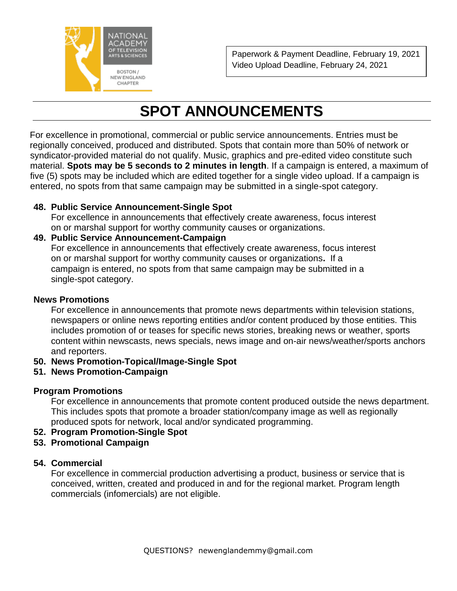

## **SPOT ANNOUNCEMENTS**

 For excellence in promotional, commercial or public service announcements. Entries must be regionally conceived, produced and distributed. Spots that contain more than 50% of network or syndicator-provided material do not qualify. Music, graphics and pre-edited video constitute such material. **Spots may be 5 seconds to 2 minutes in length**. If a campaign is entered, a maximum of five (5) spots may be included which are edited together for a single video upload. If a campaign is entered, no spots from that same campaign may be submitted in a single-spot category.

## **48. Public Service Announcement-Single Spot**

 For excellence in announcements that effectively create awareness, focus interest on or marshal support for worthy community causes or organizations.

## **49. Public Service Announcement-Campaign**

For excellence in announcements that effectively create awareness, focus interest on or marshal support for worthy community causes or organizations**.** If a campaign is entered, no spots from that same campaign may be submitted in a single-spot category.

#### **News Promotions**

 For excellence in announcements that promote news departments within television stations, newspapers or online news reporting entities and/or content produced by those entities. This includes promotion of or teases for specific news stories, breaking news or weather, sports content within newscasts, news specials, news image and on-air news/weather/sports anchors and reporters.

## **50. News Promotion-Topical/Image-Single Spot**

**51. News Promotion-Campaign**

## **Program Promotions**

 For excellence in announcements that promote content produced outside the news department. This includes spots that promote a broader station/company image as well as regionally produced spots for network, local and/or syndicated programming.

- **52. Program Promotion-Single Spot**
- **53. Promotional Campaign**

## **54. Commercial**

 For excellence in commercial production advertising a product, business or service that is conceived, written, created and produced in and for the regional market. Program length commercials (infomercials) are not eligible.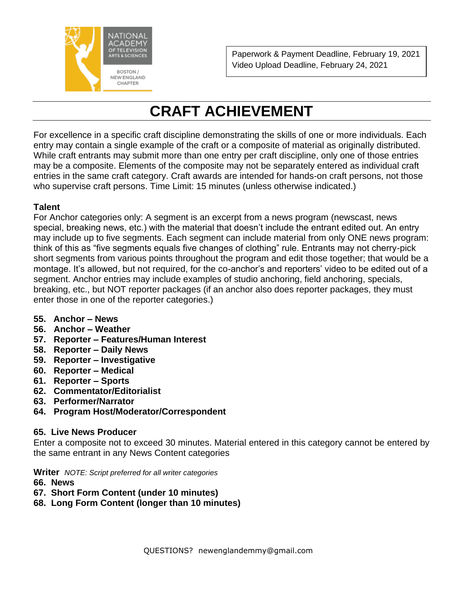

## **CRAFT ACHIEVEMENT**

For excellence in a specific craft discipline demonstrating the skills of one or more individuals. Each entry may contain a single example of the craft or a composite of material as originally distributed. While craft entrants may submit more than one entry per craft discipline, only one of those entries may be a composite. Elements of the composite may not be separately entered as individual craft entries in the same craft category. Craft awards are intended for hands-on craft persons, not those who supervise craft persons. Time Limit: 15 minutes (unless otherwise indicated.)

## **Talent**

For Anchor categories only: A segment is an excerpt from a news program (newscast, news special, breaking news, etc.) with the material that doesn't include the entrant edited out. An entry may include up to five segments. Each segment can include material from only ONE news program: think of this as "five segments equals five changes of clothing" rule. Entrants may not cherry-pick short segments from various points throughout the program and edit those together; that would be a montage. It's allowed, but not required, for the co-anchor's and reporters' video to be edited out of a segment. Anchor entries may include examples of studio anchoring, field anchoring, specials, breaking, etc., but NOT reporter packages (if an anchor also does reporter packages, they must enter those in one of the reporter categories.)

- **55. Anchor – News**
- **56. Anchor – Weather**
- **57. Reporter – Features/Human Interest**
- **58. Reporter – Daily News**
- **59. Reporter – Investigative**
- **60. Reporter – Medical**
- **61. Reporter – Sports**
- **62. Commentator/Editorialist**
- **63. Performer/Narrator**
- **64. Program Host/Moderator/Correspondent**

## **65. Live News Producer**

Enter a composite not to exceed 30 minutes. Material entered in this category cannot be entered by the same entrant in any News Content categories

**Writer** *NOTE: Script preferred for all writer categories*

- **66. News**
- **67. Short Form Content (under 10 minutes)**
- **68. Long Form Content (longer than 10 minutes)**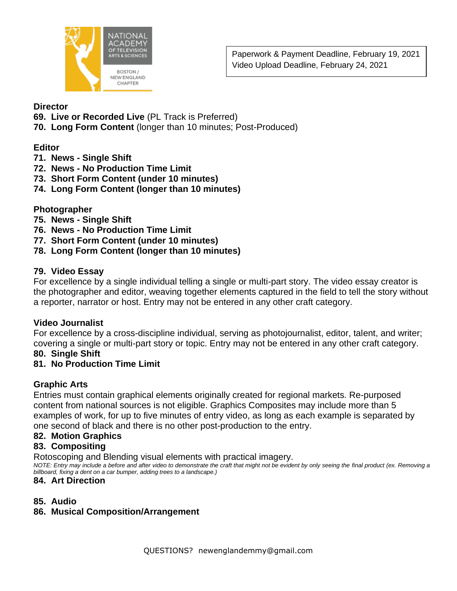

### **Director**

- **69. Live or Recorded Live** (PL Track is Preferred)
- **70. Long Form Content** (longer than 10 minutes; Post-Produced)

## **Editor**

- **71. News - Single Shift**
- **72. News - No Production Time Limit**
- **73. Short Form Content (under 10 minutes)**
- **74. Long Form Content (longer than 10 minutes)**

## **Photographer**

- **75. News - Single Shift**
- **76. News - No Production Time Limit**
- **77. Short Form Content (under 10 minutes)**
- **78. Long Form Content (longer than 10 minutes)**

## **79. Video Essay**

For excellence by a single individual telling a single or multi-part story. The video essay creator is the photographer and editor, weaving together elements captured in the field to tell the story without a reporter, narrator or host. Entry may not be entered in any other craft category.

## **Video Journalist**

For excellence by a cross-discipline individual, serving as photojournalist, editor, talent, and writer; covering a single or multi-part story or topic. Entry may not be entered in any other craft category.

## **80. Single Shift**

## **81. No Production Time Limit**

## **Graphic Arts**

Entries must contain graphical elements originally created for regional markets. Re-purposed content from national sources is not eligible. Graphics Composites may include more than 5 examples of work, for up to five minutes of entry video, as long as each example is separated by one second of black and there is no other post-production to the entry.

## **82. Motion Graphics**

## **83. Compositing**

Rotoscoping and Blending visual elements with practical imagery.

*NOTE: Entry may include a before and after video to demonstrate the craft that might not be evident by only seeing the final product (ex. Removing a billboard, fixing a dent on a car bumper, adding trees to a landscape.)*

## **84. Art Direction**

## **85. Audio**

## **86. Musical Composition/Arrangement**